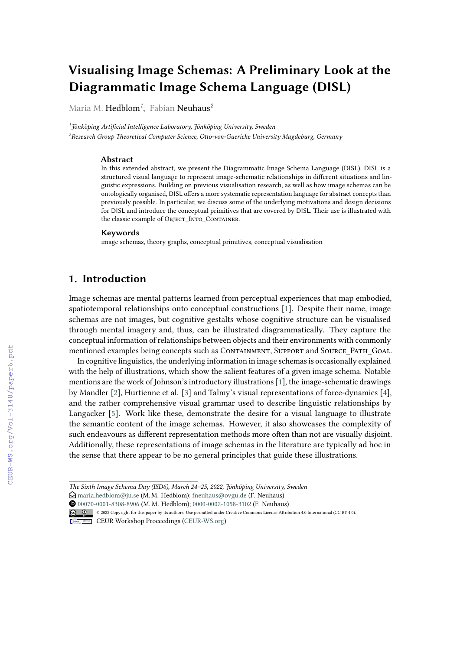# **Visualising Image Schemas: A Preliminary Look at the Diagrammatic Image Schema Language (DISL)**

Maria M. Hedblom*<sup>1</sup>* , Fabian Neuhaus*<sup>2</sup>*

*1 Jönköping Artificial Intelligence Laboratory, Jönköping University, Sweden <sup>2</sup>Research Group Theoretical Computer Science, Otto-von-Guericke University Magdeburg, Germany*

#### **Abstract**

In this extended abstract, we present the Diagrammatic Image Schema Language (DISL). DISL is a structured visual language to represent image-schematic relationships in different situations and linguistic expressions. Building on previous visualisation research, as well as how image schemas can be ontologically organised, DISL offers a more systematic representation language for abstract concepts than previously possible. In particular, we discuss some of the underlying motivations and design decisions for DISL and introduce the conceptual primitives that are covered by DISL. Their use is illustrated with the classic example of Object Into Container.

#### **Keywords**

image schemas, theory graphs, conceptual primitives, conceptual visualisation

## **1. Introduction**

Image schemas are mental patterns learned from perceptual experiences that map embodied, spatiotemporal relationships onto conceptual constructions [\[1\]](#page--1-0). Despite their name, image schemas are not images, but cognitive gestalts whose cognitive structure can be visualised through mental imagery and, thus, can be illustrated diagrammatically. They capture the conceptual information of relationships between objects and their environments with commonly mentioned examples being concepts such as CONTAINMENT, SUPPORT and SOURCE PATH GOAL.

In cognitive linguistics, the underlying information in image schemas is occasionally explained with the help of illustrations, which show the salient features of a given image schema. Notable mentions are the work of Johnson's introductory illustrations [\[1\]](#page--1-0), the image-schematic drawings by Mandler [\[2\]](#page--1-1), Hurtienne et al. [\[3\]](#page--1-2) and Talmy's visual representations of force-dynamics [\[4\]](#page--1-3), and the rather comprehensive visual grammar used to describe linguistic relationships by Langacker [\[5\]](#page--1-4). Work like these, demonstrate the desire for a visual language to illustrate the semantic content of the image schemas. However, it also showcases the complexity of such endeavours as different representation methods more often than not are visually disjoint. Additionally, these representations of image schemas in the literature are typically ad hoc in the sense that there appear to be no general principles that guide these illustrations.

*The Sixth Image Schema Day (ISD6), March 24–25, 2022, Jönköping University, Sweden*

 $\bigcirc$  [maria.hedblom@ju.se](mailto:maria.hedblom@ju.se) (M. M. Hedblom); [fneuhaus@ovgu.de](mailto:fneuhaus@ovgu.de) (F. Neuhaus)

Orcid [00070-0001-8308-8906](https://orcid.org/00070-0001-8308-8906) (M. M. Hedblom); [0000-0002-1058-3102](https://orcid.org/0000-0002-1058-3102) (F. Neuhaus)

<sup>© 2022</sup> Copyright for this paper by its authors. Use permitted under Creative Commons License Attribution 4.0 International (CC BY 4.0).

CEUR Workshop [Proceedings](http://ceur-ws.org) [\(CEUR-WS.org\)](http://ceur-ws.org)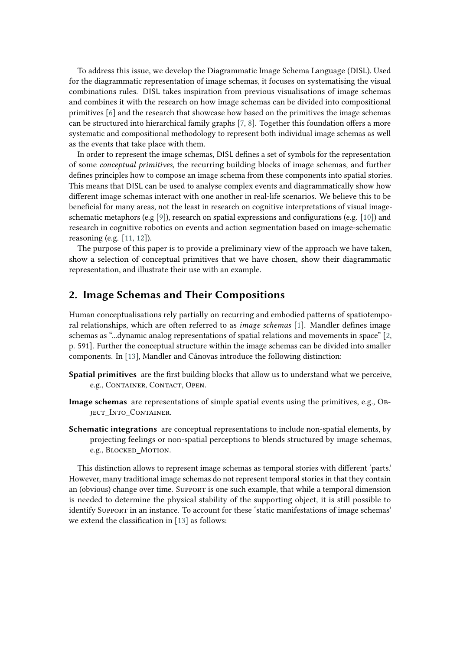To address this issue, we develop the Diagrammatic Image Schema Language (DISL). Used for the diagrammatic representation of image schemas, it focuses on systematising the visual combinations rules. DISL takes inspiration from previous visualisations of image schemas and combines it with the research on how image schemas can be divided into compositional primitives [\[6\]](#page-5-0) and the research that showcase how based on the primitives the image schemas can be structured into hierarchical family graphs [\[7,](#page-5-1) [8\]](#page-6-0). Together this foundation offers a more systematic and compositional methodology to represent both individual image schemas as well as the events that take place with them.

In order to represent the image schemas, DISL defines a set of symbols for the representation of some *conceptual primitives*, the recurring building blocks of image schemas, and further defines principles how to compose an image schema from these components into spatial stories. This means that DISL can be used to analyse complex events and diagrammatically show how different image schemas interact with one another in real-life scenarios. We believe this to be beneficial for many areas, not the least in research on cognitive interpretations of visual image-schematic metaphors (e.g [\[9\]](#page-6-1)), research on spatial expressions and configurations (e.g. [\[10\]](#page-6-2)) and research in cognitive robotics on events and action segmentation based on image-schematic reasoning (e.g. [\[11,](#page-6-3) [12\]](#page-6-4)).

The purpose of this paper is to provide a preliminary view of the approach we have taken, show a selection of conceptual primitives that we have chosen, show their diagrammatic representation, and illustrate their use with an example.

## **2. Image Schemas and Their Compositions**

Human conceptualisations rely partially on recurring and embodied patterns of spatiotemporal relationships, which are often referred to as *image schemas* [\[1\]](#page-5-2). Mandler defines image schemas as "...dynamic analog representations of spatial relations and movements in space" [\[2,](#page-5-3) p. 591]. Further the conceptual structure within the image schemas can be divided into smaller components. In [\[13\]](#page-6-5), Mandler and Cánovas introduce the following distinction:

- **Spatial primitives** are the first building blocks that allow us to understand what we perceive, e.g., Container, Contact, Open.
- **Image schemas** are representations of simple spatial events using the primitives, e.g., Object\_Into\_Container.
- **Schematic integrations** are conceptual representations to include non-spatial elements, by projecting feelings or non-spatial perceptions to blends structured by image schemas, e.g., BLOCKED MOTION.

This distinction allows to represent image schemas as temporal stories with different 'parts.' However, many traditional image schemas do not represent temporal stories in that they contain an (obvious) change over time. Support is one such example, that while a temporal dimension is needed to determine the physical stability of the supporting object, it is still possible to identify Support in an instance. To account for these 'static manifestations of image schemas' we extend the classification in [\[13\]](#page-6-5) as follows: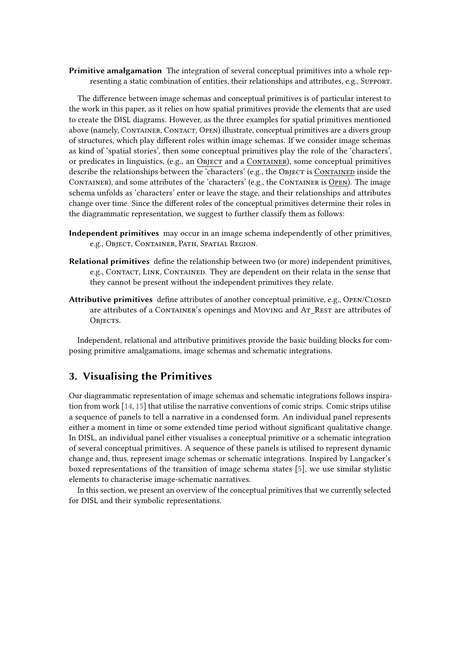**Primitive amalgamation** The integration of several conceptual primitives into a whole representing a static combination of entities, their relationships and attributes, e.g., Support.

The difference between image schemas and conceptual primitives is of particular interest to the work in this paper, as it relies on how spatial primitives provide the elements that are used to create the DISL diagrams. However, as the three examples for spatial primitives mentioned above (namely, CONTAINER, CONTACT, OPEN) illustrate, conceptual primitives are a divers group of structures, which play different roles within image schemas. If we consider image schemas as kind of 'spatial stories', then some conceptual primitives play the role of the 'characters', or predicates in linguistics, (e.g., an Object and a Container), some conceptual primitives describe the relationships between the 'characters' (e.g., the Object is Contained inside the Container), and some attributes of the 'characters' (e.g., the Container is Open). The image schema unfolds as 'characters' enter or leave the stage, and their relationships and attributes change over time. Since the different roles of the conceptual primitives determine their roles in the diagrammatic representation, we suggest to further classify them as follows:

- **Independent primitives** may occur in an image schema independently of other primitives, e.g., Object, Container, Path, Spatial Region.
- **Relational primitives** define the relationship between two (or more) independent primitives, e.g., Contact, Link, Contained. They are dependent on their relata in the sense that they cannot be present without the independent primitives they relate.
- Attributive primitives define attributes of another conceptual primitive, e.g., OPEN/CLOSED are attributes of a CONTAINER's openings and Moving and At REST are attributes of OBJECTS.

Independent, relational and attributive primitives provide the basic building blocks for composing primitive amalgamations, image schemas and schematic integrations.

# **3. Visualising the Primitives**

Our diagrammatic representation of image schemas and schematic integrations follows inspiration from work [\[14,](#page-6-6) [15\]](#page-6-7) that utilise the narrative conventions of comic strips. Comic strips utilise a sequence of panels to tell a narrative in a condensed form. An individual panel represents either a moment in time or some extended time period without significant qualitative change. In DISL, an individual panel either visualises a conceptual primitive or a schematic integration of several conceptual primitives. A sequence of these panels is utilised to represent dynamic change and, thus, represent image schemas or schematic integrations. Inspired by Langacker's boxed representations of the transition of image schema states [\[5\]](#page-5-4), we use similar stylistic elements to characterise image-schematic narratives.

In this section, we present an overview of the conceptual primitives that we currently selected for DISL and their symbolic representations.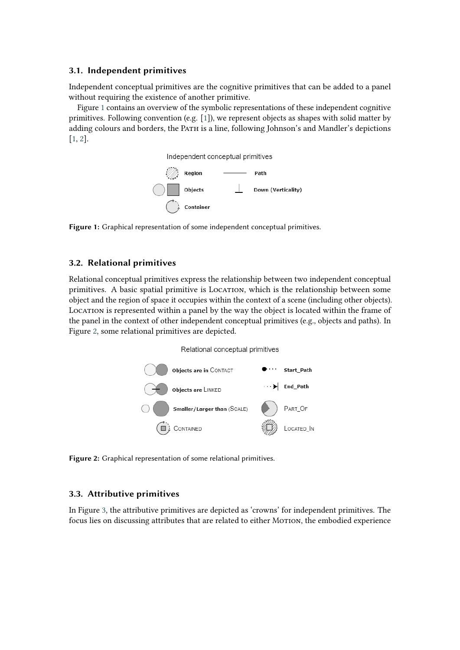#### **3.1. Independent primitives**

Independent conceptual primitives are the cognitive primitives that can be added to a panel without requiring the existence of another primitive.

Figure [1](#page-3-0) contains an overview of the symbolic representations of these independent cognitive primitives. Following convention (e.g. [\[1\]](#page-5-2)), we represent objects as shapes with solid matter by adding colours and borders, the Path is a line, following Johnson's and Mandler's depictions [\[1,](#page-5-2) [2\]](#page-5-3).



<span id="page-3-0"></span>**Figure 1:** Graphical representation of some independent conceptual primitives.

#### **3.2. Relational primitives**

Relational conceptual primitives express the relationship between two independent conceptual primitives. A basic spatial primitive is LOCATION, which is the relationship between some object and the region of space it occupies within the context of a scene (including other objects). LOCATION is represented within a panel by the way the object is located within the frame of the panel in the context of other independent conceptual primitives (e.g., objects and paths). In Figure [2,](#page-3-1) some relational primitives are depicted.

Relational conceptual primitives



<span id="page-3-1"></span>**Figure 2:** Graphical representation of some relational primitives.

### **3.3. Attributive primitives**

In Figure [3,](#page-4-0) the attributive primitives are depicted as 'crowns' for independent primitives. The focus lies on discussing attributes that are related to either MOTION, the embodied experience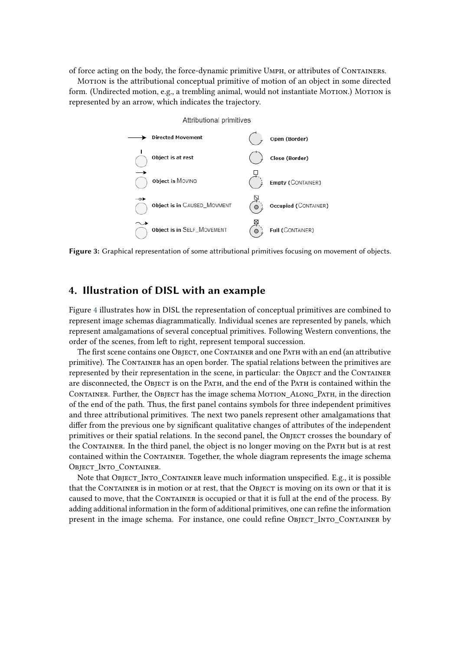of force acting on the body, the force-dynamic primitive Umph, or attributes of Containers.

Motion is the attributional conceptual primitive of motion of an object in some directed form. (Undirected motion, e.g., a trembling animal, would not instantiate MoTION.) MOTION is represented by an arrow, which indicates the trajectory.



<span id="page-4-0"></span>**Figure 3:** Graphical representation of some attributional primitives focusing on movement of objects.

## **4. Illustration of DISL with an example**

Figure [4](#page-5-5) illustrates how in DISL the representation of conceptual primitives are combined to represent image schemas diagrammatically. Individual scenes are represented by panels, which represent amalgamations of several conceptual primitives. Following Western conventions, the order of the scenes, from left to right, represent temporal succession.

The first scene contains one Object, one Container and one Path with an end (an attributive primitive). The Container has an open border. The spatial relations between the primitives are represented by their representation in the scene, in particular: the OBJECT and the CONTAINER are disconnected, the Object is on the Path, and the end of the Path is contained within the CONTAINER. Further, the OBJECT has the image schema MOTION ALONG PATH, in the direction of the end of the path. Thus, the first panel contains symbols for three independent primitives and three attributional primitives. The next two panels represent other amalgamations that differ from the previous one by significant qualitative changes of attributes of the independent primitives or their spatial relations. In the second panel, the Object crosses the boundary of the CONTAINER. In the third panel, the object is no longer moving on the PATH but is at rest contained within the Container. Together, the whole diagram represents the image schema Object Into Container.

Note that Object Into Container leave much information unspecified. E.g., it is possible that the CONTAINER is in motion or at rest, that the OBJECT is moving on its own or that it is caused to move, that the CONTAINER is occupied or that it is full at the end of the process. By adding additional information in the form of additional primitives, one can refine the information present in the image schema. For instance, one could refine Object Into Container by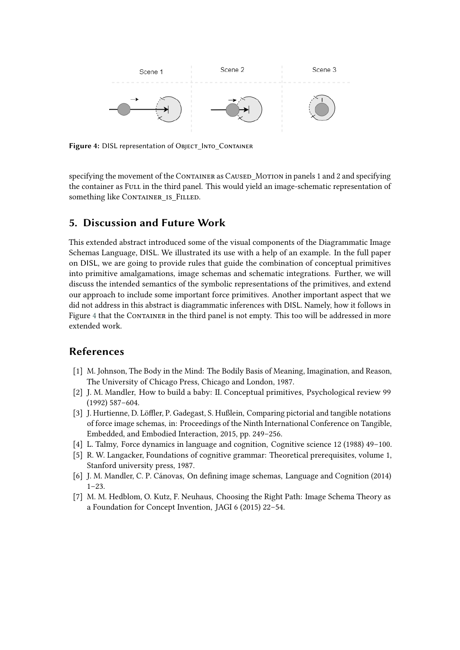

<span id="page-5-5"></span>**Figure 4:** DISL representation of Object\_Into\_Container

specifying the movement of the CONTAINER as CAUSED\_MOTION in panels 1 and 2 and specifying the container as Full in the third panel. This would yield an image-schematic representation of something like CONTAINER IS FILLED.

## **5. Discussion and Future Work**

This extended abstract introduced some of the visual components of the Diagrammatic Image Schemas Language, DISL. We illustrated its use with a help of an example. In the full paper on DISL, we are going to provide rules that guide the combination of conceptual primitives into primitive amalgamations, image schemas and schematic integrations. Further, we will discuss the intended semantics of the symbolic representations of the primitives, and extend our approach to include some important force primitives. Another important aspect that we did not address in this abstract is diagrammatic inferences with DISL. Namely, how it follows in Figure [4](#page-5-5) that the CONTAINER in the third panel is not empty. This too will be addressed in more extended work.

## **References**

- <span id="page-5-2"></span>[1] M. Johnson, The Body in the Mind: The Bodily Basis of Meaning, Imagination, and Reason, The University of Chicago Press, Chicago and London, 1987.
- <span id="page-5-3"></span>[2] J. M. Mandler, How to build a baby: II. Conceptual primitives, Psychological review 99 (1992) 587–604.
- [3] J. Hurtienne, D. Löffler, P. Gadegast, S. Hußlein, Comparing pictorial and tangible notations of force image schemas, in: Proceedings of the Ninth International Conference on Tangible, Embedded, and Embodied Interaction, 2015, pp. 249–256.
- [4] L. Talmy, Force dynamics in language and cognition, Cognitive science 12 (1988) 49–100.
- <span id="page-5-4"></span>[5] R. W. Langacker, Foundations of cognitive grammar: Theoretical prerequisites, volume 1, Stanford university press, 1987.
- <span id="page-5-0"></span>[6] J. M. Mandler, C. P. Cánovas, On defining image schemas, Language and Cognition (2014)  $1-23.$
- <span id="page-5-1"></span>[7] M. M. Hedblom, O. Kutz, F. Neuhaus, Choosing the Right Path: Image Schema Theory as a Foundation for Concept Invention, JAGI 6 (2015) 22–54.